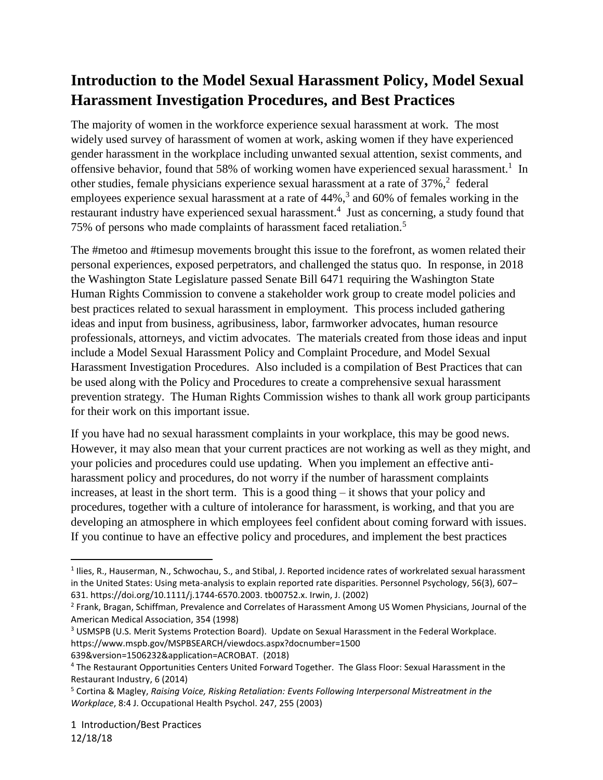# **Introduction to the Model Sexual Harassment Policy, Model Sexual Harassment Investigation Procedures, and Best Practices**

The majority of women in the workforce experience sexual harassment at work. The most widely used survey of harassment of women at work, asking women if they have experienced gender harassment in the workplace including unwanted sexual attention, sexist comments, and offensive behavior, found that 58% of working women have experienced sexual harassment.<sup>1</sup> In other studies, female physicians experience sexual harassment at a rate of 37%, 2 federal employees experience sexual harassment at a rate of 44%,<sup>3</sup> and 60% of females working in the restaurant industry have experienced sexual harassment.<sup>4</sup> Just as concerning, a study found that 75% of persons who made complaints of harassment faced retaliation.<sup>5</sup>

The #metoo and #timesup movements brought this issue to the forefront, as women related their personal experiences, exposed perpetrators, and challenged the status quo. In response, in 2018 the Washington State Legislature passed Senate Bill 6471 requiring the Washington State Human Rights Commission to convene a stakeholder work group to create model policies and best practices related to sexual harassment in employment. This process included gathering ideas and input from business, agribusiness, labor, farmworker advocates, human resource professionals, attorneys, and victim advocates. The materials created from those ideas and input include a Model Sexual Harassment Policy and Complaint Procedure, and Model Sexual Harassment Investigation Procedures. Also included is a compilation of Best Practices that can be used along with the Policy and Procedures to create a comprehensive sexual harassment prevention strategy. The Human Rights Commission wishes to thank all work group participants for their work on this important issue.

If you have had no sexual harassment complaints in your workplace, this may be good news. However, it may also mean that your current practices are not working as well as they might, and your policies and procedures could use updating. When you implement an effective antiharassment policy and procedures, do not worry if the number of harassment complaints increases, at least in the short term. This is a good thing – it shows that your policy and procedures, together with a culture of intolerance for harassment, is working, and that you are developing an atmosphere in which employees feel confident about coming forward with issues. If you continue to have an effective policy and procedures, and implement the best practices

<sup>&</sup>lt;sup>1</sup> Ilies, R., Hauserman, N., Schwochau, S., and Stibal, J. Reported incidence rates of workrelated sexual harassment in the United States: Using meta-analysis to explain reported rate disparities. Personnel Psychology, 56(3), 607– 631. https://doi.org/10.1111/j.1744-6570.2003. tb00752.x. Irwin, J. (2002)

<sup>&</sup>lt;sup>2</sup> Frank, Bragan, Schiffman, Prevalence and Correlates of Harassment Among US Women Physicians, Journal of the American Medical Association, 354 (1998)

<sup>3</sup> USMSPB (U.S. Merit Systems Protection Board). Update on Sexual Harassment in the Federal Workplace. https://www.mspb.gov/MSPBSEARCH/viewdocs.aspx?docnumber=1500

<sup>639&</sup>amp;version=1506232&application=ACROBAT. (2018)

<sup>4</sup> The Restaurant Opportunities Centers United Forward Together. The Glass Floor: Sexual Harassment in the Restaurant Industry, 6 (2014)

<sup>5</sup> Cortina & Magley, *Raising Voice, Risking Retaliation: Events Following Interpersonal Mistreatment in the Workplace*, 8:4 J. Occupational Health Psychol. 247, 255 (2003)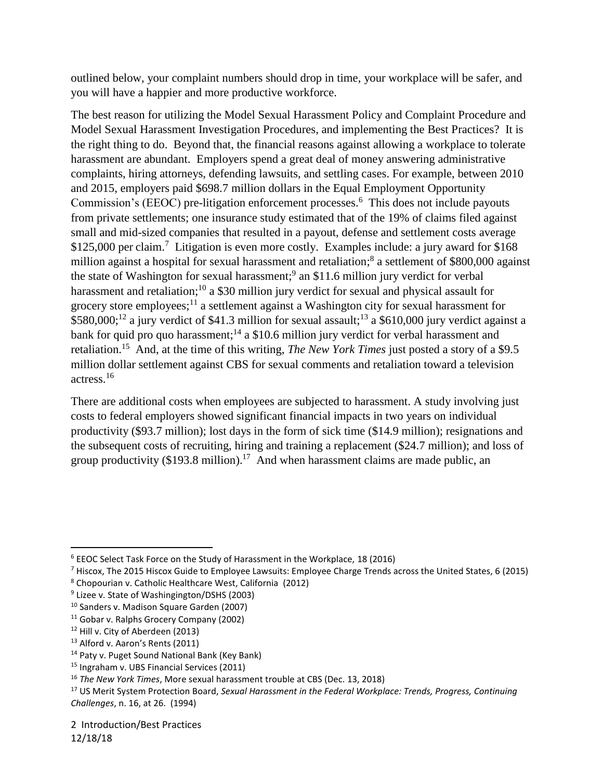outlined below, your complaint numbers should drop in time, your workplace will be safer, and you will have a happier and more productive workforce.

The best reason for utilizing the Model Sexual Harassment Policy and Complaint Procedure and Model Sexual Harassment Investigation Procedures, and implementing the Best Practices? It is the right thing to do. Beyond that, the financial reasons against allowing a workplace to tolerate harassment are abundant. Employers spend a great deal of money answering administrative complaints, hiring attorneys, defending lawsuits, and settling cases. For example, between 2010 and 2015, employers paid \$698.7 million dollars in the Equal Employment Opportunity Commission's (EEOC) pre-litigation enforcement processes. 6 This does not include payouts from private settlements; one insurance study estimated that of the 19% of claims filed against small and mid-sized companies that resulted in a payout, defense and settlement costs average \$125,000 per claim.<sup>7</sup> Litigation is even more costly. Examples include: a jury award for \$168 million against a hospital for sexual harassment and retaliation;<sup>8</sup> a settlement of \$800,000 against the state of Washington for sexual harassment;<sup>9</sup> an \$11.6 million jury verdict for verbal harassment and retaliation;<sup>10</sup> a \$30 million jury verdict for sexual and physical assault for grocery store employees;<sup>11</sup> a settlement against a Washington city for sexual harassment for  $$580,000;^{12}$  a jury verdict of \$41.3 million for sexual assault;<sup>13</sup> a \$610,000 jury verdict against a bank for quid pro quo harassment;<sup>14</sup> a \$10.6 million jury verdict for verbal harassment and retaliation. 15 And, at the time of this writing, *The New York Times* just posted a story of a \$9.5 million dollar settlement against CBS for sexual comments and retaliation toward a television actress.<sup>16</sup>

There are additional costs when employees are subjected to harassment. A study involving just costs to federal employers showed significant financial impacts in two years on individual productivity (\$93.7 million); lost days in the form of sick time (\$14.9 million); resignations and the subsequent costs of recruiting, hiring and training a replacement (\$24.7 million); and loss of group productivity  $(\$193.8 \text{ million})$ .<sup>17</sup> And when harassment claims are made public, an

<sup>7</sup> Hiscox, The 2015 Hiscox Guide to Employee Lawsuits: Employee Charge Trends across the United States, 6 (2015)

<sup>6</sup> EEOC Select Task Force on the Study of Harassment in the Workplace, 18 (2016)

<sup>8</sup> Chopourian v. Catholic Healthcare West, California (2012)

<sup>&</sup>lt;sup>9</sup> Lizee v. State of Washingington/DSHS (2003)

<sup>&</sup>lt;sup>10</sup> Sanders v. Madison Square Garden (2007)

<sup>11</sup> Gobar v. Ralphs Grocery Company (2002)

<sup>&</sup>lt;sup>12</sup> Hill v. City of Aberdeen (2013)

<sup>13</sup> Alford v. Aaron's Rents (2011)

<sup>14</sup> Paty v. Puget Sound National Bank (Key Bank)

<sup>&</sup>lt;sup>15</sup> Ingraham v. UBS Financial Services (2011)

<sup>16</sup> *The New York Times*, More sexual harassment trouble at CBS (Dec. 13, 2018)

<sup>17</sup> US Merit System Protection Board, *Sexual Harassment in the Federal Workplace: Trends, Progress, Continuing Challenges*, n. 16, at 26. (1994)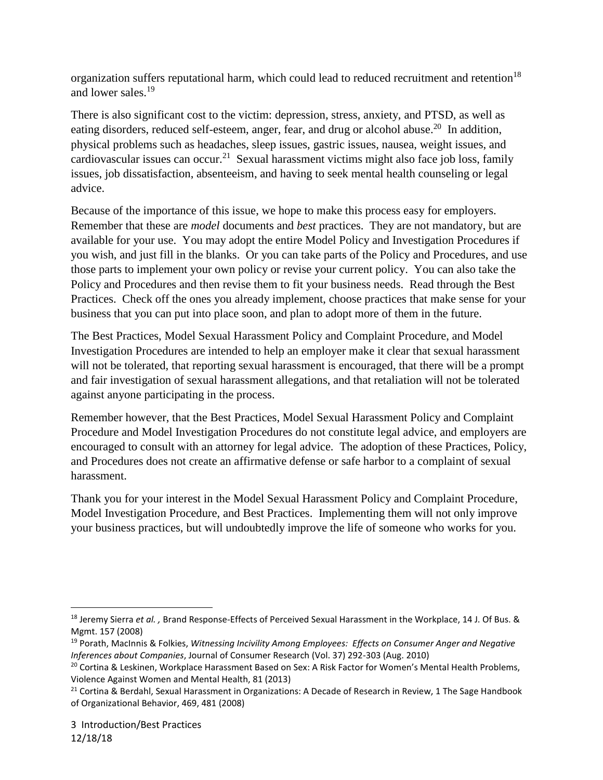organization suffers reputational harm, which could lead to reduced recruitment and retention<sup>18</sup> and lower sales. 19

There is also significant cost to the victim: depression, stress, anxiety, and PTSD, as well as eating disorders, reduced self-esteem, anger, fear, and drug or alcohol abuse.<sup>20</sup> In addition, physical problems such as headaches, sleep issues, gastric issues, nausea, weight issues, and cardiovascular issues can occur.<sup>21</sup> Sexual harassment victims might also face job loss, family issues, job dissatisfaction, absenteeism, and having to seek mental health counseling or legal advice.

Because of the importance of this issue, we hope to make this process easy for employers. Remember that these are *model* documents and *best* practices. They are not mandatory, but are available for your use. You may adopt the entire Model Policy and Investigation Procedures if you wish, and just fill in the blanks. Or you can take parts of the Policy and Procedures, and use those parts to implement your own policy or revise your current policy. You can also take the Policy and Procedures and then revise them to fit your business needs. Read through the Best Practices. Check off the ones you already implement, choose practices that make sense for your business that you can put into place soon, and plan to adopt more of them in the future.

The Best Practices, Model Sexual Harassment Policy and Complaint Procedure, and Model Investigation Procedures are intended to help an employer make it clear that sexual harassment will not be tolerated, that reporting sexual harassment is encouraged, that there will be a prompt and fair investigation of sexual harassment allegations, and that retaliation will not be tolerated against anyone participating in the process.

Remember however, that the Best Practices, Model Sexual Harassment Policy and Complaint Procedure and Model Investigation Procedures do not constitute legal advice, and employers are encouraged to consult with an attorney for legal advice. The adoption of these Practices, Policy, and Procedures does not create an affirmative defense or safe harbor to a complaint of sexual harassment.

Thank you for your interest in the Model Sexual Harassment Policy and Complaint Procedure, Model Investigation Procedure, and Best Practices. Implementing them will not only improve your business practices, but will undoubtedly improve the life of someone who works for you.

 $\overline{a}$ <sup>18</sup> Jeremy Sierra *et al. ,* Brand Response-Effects of Perceived Sexual Harassment in the Workplace, 14 J. Of Bus. & Mgmt. 157 (2008)

<sup>19</sup> Porath, MacInnis & Folkies, *Witnessing Incivility Among Employees: Effects on Consumer Anger and Negative Inferences about Companies*, Journal of Consumer Research (Vol. 37) 292-303 (Aug. 2010)

<sup>&</sup>lt;sup>20</sup> Cortina & Leskinen, Workplace Harassment Based on Sex: A Risk Factor for Women's Mental Health Problems, Violence Against Women and Mental Health, 81 (2013)

<sup>&</sup>lt;sup>21</sup> Cortina & Berdahl, Sexual Harassment in Organizations: A Decade of Research in Review, 1 The Sage Handbook of Organizational Behavior, 469, 481 (2008)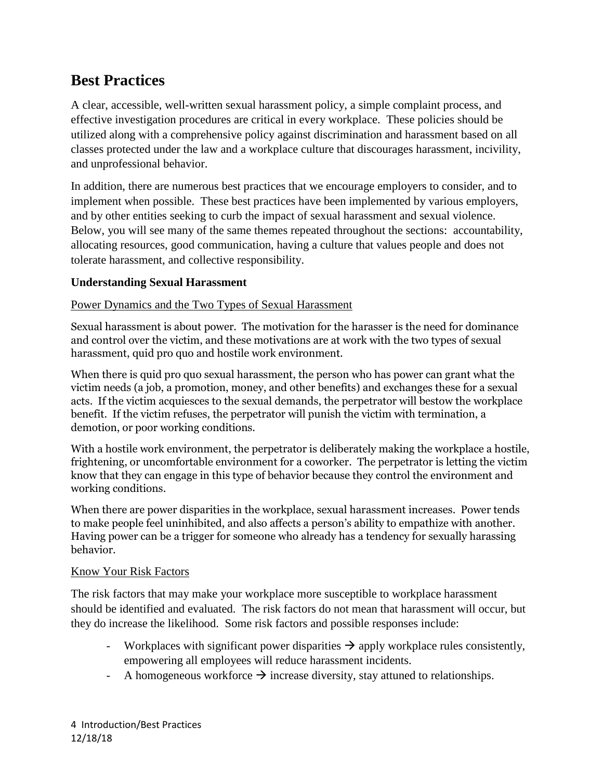# **Best Practices**

A clear, accessible, well-written sexual harassment policy, a simple complaint process, and effective investigation procedures are critical in every workplace. These policies should be utilized along with a comprehensive policy against discrimination and harassment based on all classes protected under the law and a workplace culture that discourages harassment, incivility, and unprofessional behavior.

In addition, there are numerous best practices that we encourage employers to consider, and to implement when possible. These best practices have been implemented by various employers, and by other entities seeking to curb the impact of sexual harassment and sexual violence. Below, you will see many of the same themes repeated throughout the sections: accountability, allocating resources, good communication, having a culture that values people and does not tolerate harassment, and collective responsibility.

# **Understanding Sexual Harassment**

#### Power Dynamics and the Two Types of Sexual Harassment

Sexual harassment is about power. The motivation for the harasser is the need for dominance and control over the victim, and these motivations are at work with the two types of sexual harassment, quid pro quo and hostile work environment.

When there is quid pro quo sexual harassment, the person who has power can grant what the victim needs (a job, a promotion, money, and other benefits) and exchanges these for a sexual acts. If the victim acquiesces to the sexual demands, the perpetrator will bestow the workplace benefit. If the victim refuses, the perpetrator will punish the victim with termination, a demotion, or poor working conditions.

With a hostile work environment, the perpetrator is deliberately making the workplace a hostile, frightening, or uncomfortable environment for a coworker. The perpetrator is letting the victim know that they can engage in this type of behavior because they control the environment and working conditions.

When there are power disparities in the workplace, sexual harassment increases. Power tends to make people feel uninhibited, and also affects a person's ability to empathize with another. Having power can be a trigger for someone who already has a tendency for sexually harassing behavior.

#### Know Your Risk Factors

The risk factors that may make your workplace more susceptible to workplace harassment should be identified and evaluated. The risk factors do not mean that harassment will occur, but they do increase the likelihood. Some risk factors and possible responses include:

- Workplaces with significant power disparities  $\rightarrow$  apply workplace rules consistently, empowering all employees will reduce harassment incidents.
- A homogeneous workforce  $\rightarrow$  increase diversity, stay attuned to relationships.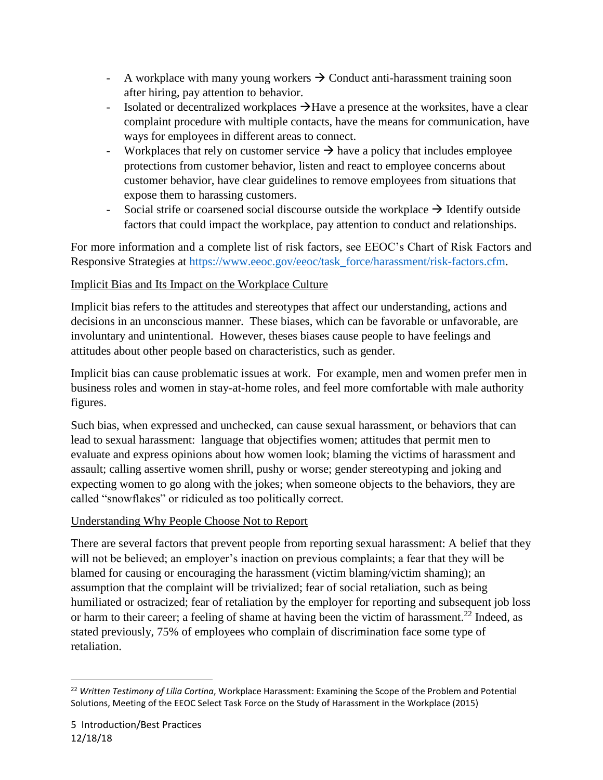- A workplace with many young workers  $\rightarrow$  Conduct anti-harassment training soon after hiring, pay attention to behavior.
- Isolated or decentralized workplaces  $\rightarrow$  Have a presence at the worksites, have a clear complaint procedure with multiple contacts, have the means for communication, have ways for employees in different areas to connect.
- Workplaces that rely on customer service  $\rightarrow$  have a policy that includes employee protections from customer behavior, listen and react to employee concerns about customer behavior, have clear guidelines to remove employees from situations that expose them to harassing customers.
- Social strife or coarsened social discourse outside the workplace  $\rightarrow$  Identify outside factors that could impact the workplace, pay attention to conduct and relationships.

For more information and a complete list of risk factors, see EEOC's Chart of Risk Factors and Responsive Strategies at [https://www.eeoc.gov/eeoc/task\\_force/harassment/risk-factors.cfm.](https://www.eeoc.gov/eeoc/task_force/harassment/risk-factors.cfm)

## Implicit Bias and Its Impact on the Workplace Culture

Implicit bias refers to the attitudes and stereotypes that affect our understanding, actions and decisions in an unconscious manner. These biases, which can be favorable or unfavorable, are involuntary and unintentional. However, theses biases cause people to have feelings and attitudes about other people based on characteristics, such as gender.

Implicit bias can cause problematic issues at work. For example, men and women prefer men in business roles and women in stay-at-home roles, and feel more comfortable with male authority figures.

Such bias, when expressed and unchecked, can cause sexual harassment, or behaviors that can lead to sexual harassment: language that objectifies women; attitudes that permit men to evaluate and express opinions about how women look; blaming the victims of harassment and assault; calling assertive women shrill, pushy or worse; gender stereotyping and joking and expecting women to go along with the jokes; when someone objects to the behaviors, they are called "snowflakes" or ridiculed as too politically correct.

#### Understanding Why People Choose Not to Report

There are several factors that prevent people from reporting sexual harassment: A belief that they will not be believed; an employer's inaction on previous complaints; a fear that they will be blamed for causing or encouraging the harassment (victim blaming/victim shaming); an assumption that the complaint will be trivialized; fear of social retaliation, such as being humiliated or ostracized; fear of retaliation by the employer for reporting and subsequent job loss or harm to their career; a feeling of shame at having been the victim of harassment.<sup>22</sup> Indeed, as stated previously, 75% of employees who complain of discrimination face some type of retaliation.

<sup>22</sup> *Written Testimony of Lilia Cortina*, Workplace Harassment: Examining the Scope of the Problem and Potential Solutions, Meeting of the EEOC Select Task Force on the Study of Harassment in the Workplace (2015)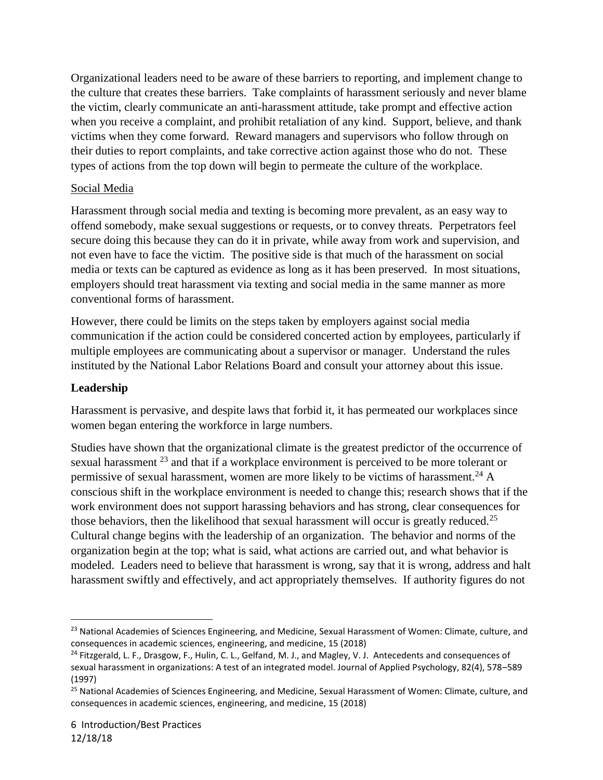Organizational leaders need to be aware of these barriers to reporting, and implement change to the culture that creates these barriers. Take complaints of harassment seriously and never blame the victim, clearly communicate an anti-harassment attitude, take prompt and effective action when you receive a complaint, and prohibit retaliation of any kind. Support, believe, and thank victims when they come forward. Reward managers and supervisors who follow through on their duties to report complaints, and take corrective action against those who do not. These types of actions from the top down will begin to permeate the culture of the workplace.

## Social Media

Harassment through social media and texting is becoming more prevalent, as an easy way to offend somebody, make sexual suggestions or requests, or to convey threats. Perpetrators feel secure doing this because they can do it in private, while away from work and supervision, and not even have to face the victim. The positive side is that much of the harassment on social media or texts can be captured as evidence as long as it has been preserved. In most situations, employers should treat harassment via texting and social media in the same manner as more conventional forms of harassment.

However, there could be limits on the steps taken by employers against social media communication if the action could be considered concerted action by employees, particularly if multiple employees are communicating about a supervisor or manager. Understand the rules instituted by the National Labor Relations Board and consult your attorney about this issue.

## **Leadership**

Harassment is pervasive, and despite laws that forbid it, it has permeated our workplaces since women began entering the workforce in large numbers.

Studies have shown that the organizational climate is the greatest predictor of the occurrence of sexual harassment <sup>23</sup> and that if a workplace environment is perceived to be more tolerant or permissive of sexual harassment, women are more likely to be victims of harassment.<sup>24</sup> A conscious shift in the workplace environment is needed to change this; research shows that if the work environment does not support harassing behaviors and has strong, clear consequences for those behaviors, then the likelihood that sexual harassment will occur is greatly reduced.<sup>25</sup> Cultural change begins with the leadership of an organization. The behavior and norms of the organization begin at the top; what is said, what actions are carried out, and what behavior is modeled. Leaders need to believe that harassment is wrong, say that it is wrong, address and halt harassment swiftly and effectively, and act appropriately themselves. If authority figures do not

 $\overline{\phantom{a}}$ <sup>23</sup> National Academies of Sciences Engineering, and Medicine, Sexual Harassment of Women: Climate, culture, and consequences in academic sciences, engineering, and medicine, 15 (2018)

<sup>&</sup>lt;sup>24</sup> Fitzgerald, L. F., Drasgow, F., Hulin, C. L., Gelfand, M. J., and Magley, V. J. Antecedents and consequences of sexual harassment in organizations: A test of an integrated model. Journal of Applied Psychology, 82(4), 578–589 (1997)

<sup>&</sup>lt;sup>25</sup> National Academies of Sciences Engineering, and Medicine, Sexual Harassment of Women: Climate, culture, and consequences in academic sciences, engineering, and medicine, 15 (2018)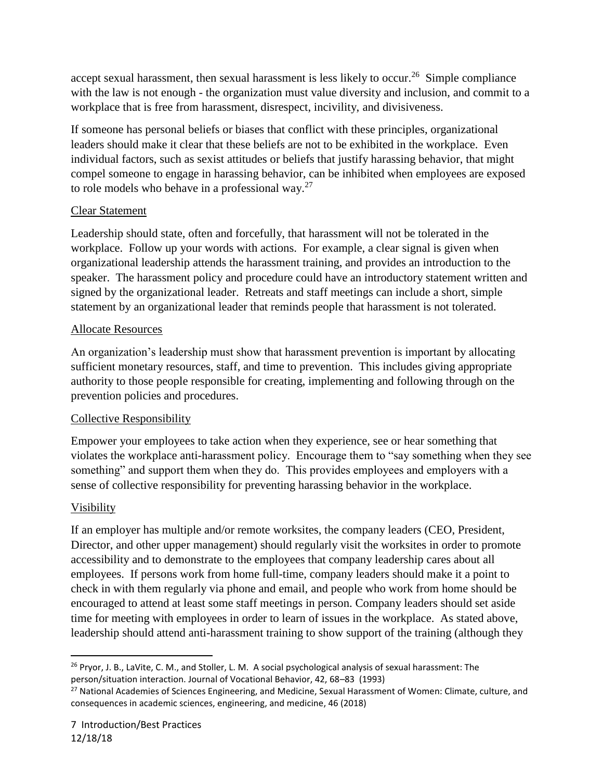accept sexual harassment, then sexual harassment is less likely to occur.<sup>26</sup> Simple compliance with the law is not enough - the organization must value diversity and inclusion, and commit to a workplace that is free from harassment, disrespect, incivility, and divisiveness.

If someone has personal beliefs or biases that conflict with these principles, organizational leaders should make it clear that these beliefs are not to be exhibited in the workplace. Even individual factors, such as sexist attitudes or beliefs that justify harassing behavior, that might compel someone to engage in harassing behavior, can be inhibited when employees are exposed to role models who behave in a professional way.<sup>27</sup>

# Clear Statement

Leadership should state, often and forcefully, that harassment will not be tolerated in the workplace. Follow up your words with actions. For example, a clear signal is given when organizational leadership attends the harassment training, and provides an introduction to the speaker. The harassment policy and procedure could have an introductory statement written and signed by the organizational leader. Retreats and staff meetings can include a short, simple statement by an organizational leader that reminds people that harassment is not tolerated.

## Allocate Resources

An organization's leadership must show that harassment prevention is important by allocating sufficient monetary resources, staff, and time to prevention. This includes giving appropriate authority to those people responsible for creating, implementing and following through on the prevention policies and procedures.

# Collective Responsibility

Empower your employees to take action when they experience, see or hear something that violates the workplace anti-harassment policy. Encourage them to "say something when they see something" and support them when they do. This provides employees and employers with a sense of collective responsibility for preventing harassing behavior in the workplace.

# Visibility

l

If an employer has multiple and/or remote worksites, the company leaders (CEO, President, Director, and other upper management) should regularly visit the worksites in order to promote accessibility and to demonstrate to the employees that company leadership cares about all employees. If persons work from home full-time, company leaders should make it a point to check in with them regularly via phone and email, and people who work from home should be encouraged to attend at least some staff meetings in person. Company leaders should set aside time for meeting with employees in order to learn of issues in the workplace. As stated above, leadership should attend anti-harassment training to show support of the training (although they

 $26$  Pryor, J. B., LaVite, C. M., and Stoller, L. M. A social psychological analysis of sexual harassment: The person/situation interaction. Journal of Vocational Behavior, 42, 68–83 (1993)

<sup>&</sup>lt;sup>27</sup> National Academies of Sciences Engineering, and Medicine, Sexual Harassment of Women: Climate, culture, and consequences in academic sciences, engineering, and medicine, 46 (2018)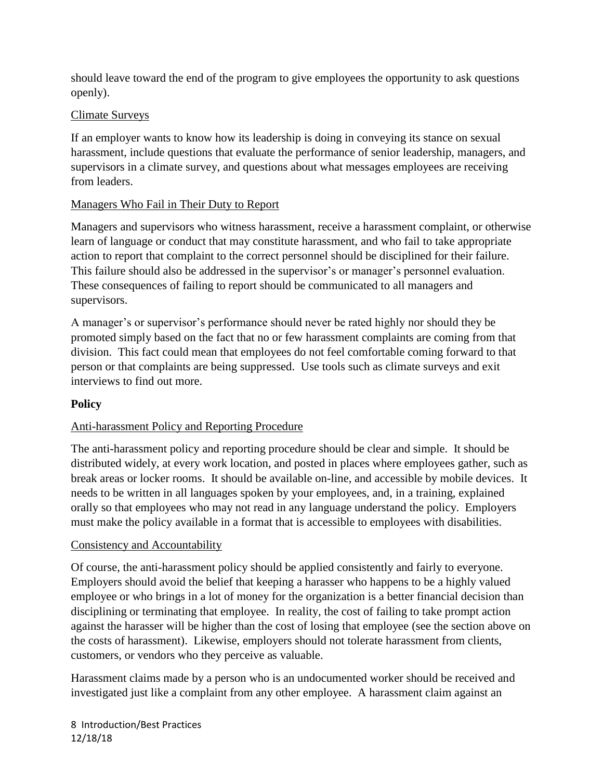should leave toward the end of the program to give employees the opportunity to ask questions openly).

## Climate Surveys

If an employer wants to know how its leadership is doing in conveying its stance on sexual harassment, include questions that evaluate the performance of senior leadership, managers, and supervisors in a climate survey, and questions about what messages employees are receiving from leaders.

## Managers Who Fail in Their Duty to Report

Managers and supervisors who witness harassment, receive a harassment complaint, or otherwise learn of language or conduct that may constitute harassment, and who fail to take appropriate action to report that complaint to the correct personnel should be disciplined for their failure. This failure should also be addressed in the supervisor's or manager's personnel evaluation. These consequences of failing to report should be communicated to all managers and supervisors.

A manager's or supervisor's performance should never be rated highly nor should they be promoted simply based on the fact that no or few harassment complaints are coming from that division. This fact could mean that employees do not feel comfortable coming forward to that person or that complaints are being suppressed. Use tools such as climate surveys and exit interviews to find out more.

# **Policy**

# Anti-harassment Policy and Reporting Procedure

The anti-harassment policy and reporting procedure should be clear and simple. It should be distributed widely, at every work location, and posted in places where employees gather, such as break areas or locker rooms. It should be available on-line, and accessible by mobile devices. It needs to be written in all languages spoken by your employees, and, in a training, explained orally so that employees who may not read in any language understand the policy. Employers must make the policy available in a format that is accessible to employees with disabilities.

#### Consistency and Accountability

Of course, the anti-harassment policy should be applied consistently and fairly to everyone. Employers should avoid the belief that keeping a harasser who happens to be a highly valued employee or who brings in a lot of money for the organization is a better financial decision than disciplining or terminating that employee. In reality, the cost of failing to take prompt action against the harasser will be higher than the cost of losing that employee (see the section above on the costs of harassment). Likewise, employers should not tolerate harassment from clients, customers, or vendors who they perceive as valuable.

Harassment claims made by a person who is an undocumented worker should be received and investigated just like a complaint from any other employee. A harassment claim against an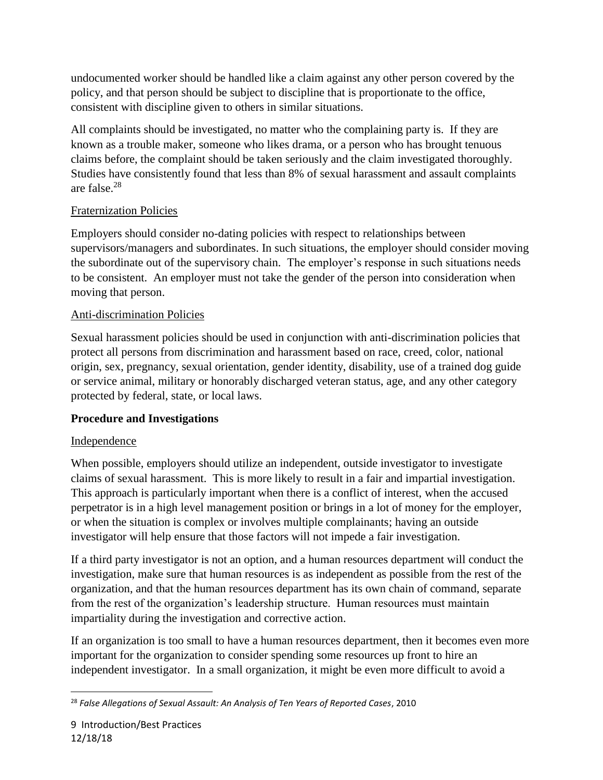undocumented worker should be handled like a claim against any other person covered by the policy, and that person should be subject to discipline that is proportionate to the office, consistent with discipline given to others in similar situations.

All complaints should be investigated, no matter who the complaining party is. If they are known as a trouble maker, someone who likes drama, or a person who has brought tenuous claims before, the complaint should be taken seriously and the claim investigated thoroughly. Studies have consistently found that less than 8% of sexual harassment and assault complaints are false.<sup>28</sup>

# Fraternization Policies

Employers should consider no-dating policies with respect to relationships between supervisors/managers and subordinates. In such situations, the employer should consider moving the subordinate out of the supervisory chain. The employer's response in such situations needs to be consistent. An employer must not take the gender of the person into consideration when moving that person.

## Anti-discrimination Policies

Sexual harassment policies should be used in conjunction with anti-discrimination policies that protect all persons from discrimination and harassment based on race, creed, color, national origin, sex, pregnancy, sexual orientation, gender identity, disability, use of a trained dog guide or service animal, military or honorably discharged veteran status, age, and any other category protected by federal, state, or local laws.

#### **Procedure and Investigations**

#### Independence

When possible, employers should utilize an independent, outside investigator to investigate claims of sexual harassment. This is more likely to result in a fair and impartial investigation. This approach is particularly important when there is a conflict of interest, when the accused perpetrator is in a high level management position or brings in a lot of money for the employer, or when the situation is complex or involves multiple complainants; having an outside investigator will help ensure that those factors will not impede a fair investigation.

If a third party investigator is not an option, and a human resources department will conduct the investigation, make sure that human resources is as independent as possible from the rest of the organization, and that the human resources department has its own chain of command, separate from the rest of the organization's leadership structure. Human resources must maintain impartiality during the investigation and corrective action.

If an organization is too small to have a human resources department, then it becomes even more important for the organization to consider spending some resources up front to hire an independent investigator. In a small organization, it might be even more difficult to avoid a

<sup>28</sup> *False Allegations of Sexual Assault: An Analysis of Ten Years of Reported Cases*, 2010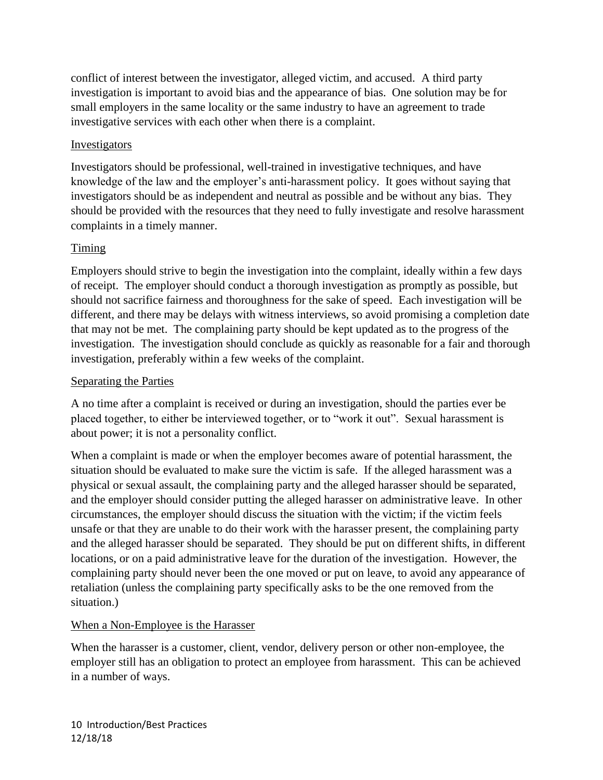conflict of interest between the investigator, alleged victim, and accused. A third party investigation is important to avoid bias and the appearance of bias. One solution may be for small employers in the same locality or the same industry to have an agreement to trade investigative services with each other when there is a complaint.

#### Investigators

Investigators should be professional, well-trained in investigative techniques, and have knowledge of the law and the employer's anti-harassment policy. It goes without saying that investigators should be as independent and neutral as possible and be without any bias. They should be provided with the resources that they need to fully investigate and resolve harassment complaints in a timely manner.

## Timing

Employers should strive to begin the investigation into the complaint, ideally within a few days of receipt. The employer should conduct a thorough investigation as promptly as possible, but should not sacrifice fairness and thoroughness for the sake of speed. Each investigation will be different, and there may be delays with witness interviews, so avoid promising a completion date that may not be met. The complaining party should be kept updated as to the progress of the investigation. The investigation should conclude as quickly as reasonable for a fair and thorough investigation, preferably within a few weeks of the complaint.

#### Separating the Parties

A no time after a complaint is received or during an investigation, should the parties ever be placed together, to either be interviewed together, or to "work it out". Sexual harassment is about power; it is not a personality conflict.

When a complaint is made or when the employer becomes aware of potential harassment, the situation should be evaluated to make sure the victim is safe. If the alleged harassment was a physical or sexual assault, the complaining party and the alleged harasser should be separated, and the employer should consider putting the alleged harasser on administrative leave. In other circumstances, the employer should discuss the situation with the victim; if the victim feels unsafe or that they are unable to do their work with the harasser present, the complaining party and the alleged harasser should be separated. They should be put on different shifts, in different locations, or on a paid administrative leave for the duration of the investigation. However, the complaining party should never been the one moved or put on leave, to avoid any appearance of retaliation (unless the complaining party specifically asks to be the one removed from the situation.)

#### When a Non-Employee is the Harasser

When the harasser is a customer, client, vendor, delivery person or other non-employee, the employer still has an obligation to protect an employee from harassment. This can be achieved in a number of ways.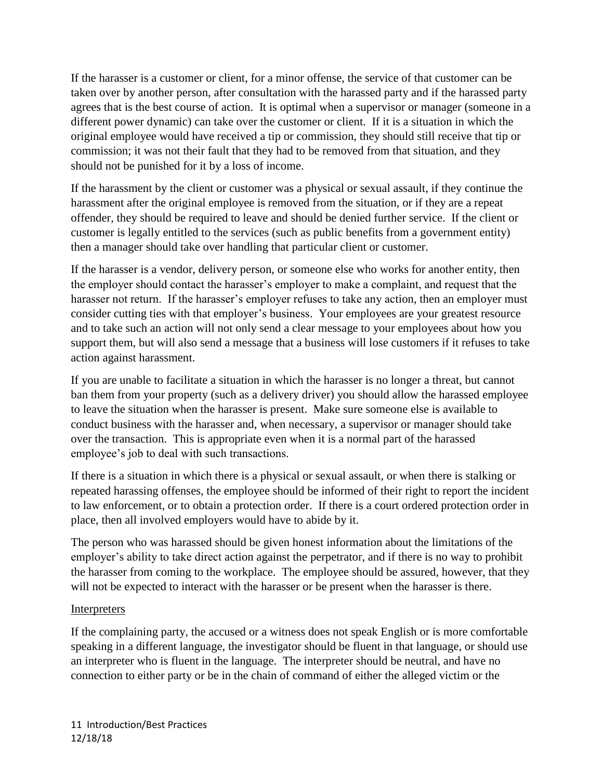If the harasser is a customer or client, for a minor offense, the service of that customer can be taken over by another person, after consultation with the harassed party and if the harassed party agrees that is the best course of action. It is optimal when a supervisor or manager (someone in a different power dynamic) can take over the customer or client. If it is a situation in which the original employee would have received a tip or commission, they should still receive that tip or commission; it was not their fault that they had to be removed from that situation, and they should not be punished for it by a loss of income.

If the harassment by the client or customer was a physical or sexual assault, if they continue the harassment after the original employee is removed from the situation, or if they are a repeat offender, they should be required to leave and should be denied further service. If the client or customer is legally entitled to the services (such as public benefits from a government entity) then a manager should take over handling that particular client or customer.

If the harasser is a vendor, delivery person, or someone else who works for another entity, then the employer should contact the harasser's employer to make a complaint, and request that the harasser not return. If the harasser's employer refuses to take any action, then an employer must consider cutting ties with that employer's business. Your employees are your greatest resource and to take such an action will not only send a clear message to your employees about how you support them, but will also send a message that a business will lose customers if it refuses to take action against harassment.

If you are unable to facilitate a situation in which the harasser is no longer a threat, but cannot ban them from your property (such as a delivery driver) you should allow the harassed employee to leave the situation when the harasser is present. Make sure someone else is available to conduct business with the harasser and, when necessary, a supervisor or manager should take over the transaction. This is appropriate even when it is a normal part of the harassed employee's job to deal with such transactions.

If there is a situation in which there is a physical or sexual assault, or when there is stalking or repeated harassing offenses, the employee should be informed of their right to report the incident to law enforcement, or to obtain a protection order. If there is a court ordered protection order in place, then all involved employers would have to abide by it.

The person who was harassed should be given honest information about the limitations of the employer's ability to take direct action against the perpetrator, and if there is no way to prohibit the harasser from coming to the workplace. The employee should be assured, however, that they will not be expected to interact with the harasser or be present when the harasser is there.

#### Interpreters

If the complaining party, the accused or a witness does not speak English or is more comfortable speaking in a different language, the investigator should be fluent in that language, or should use an interpreter who is fluent in the language. The interpreter should be neutral, and have no connection to either party or be in the chain of command of either the alleged victim or the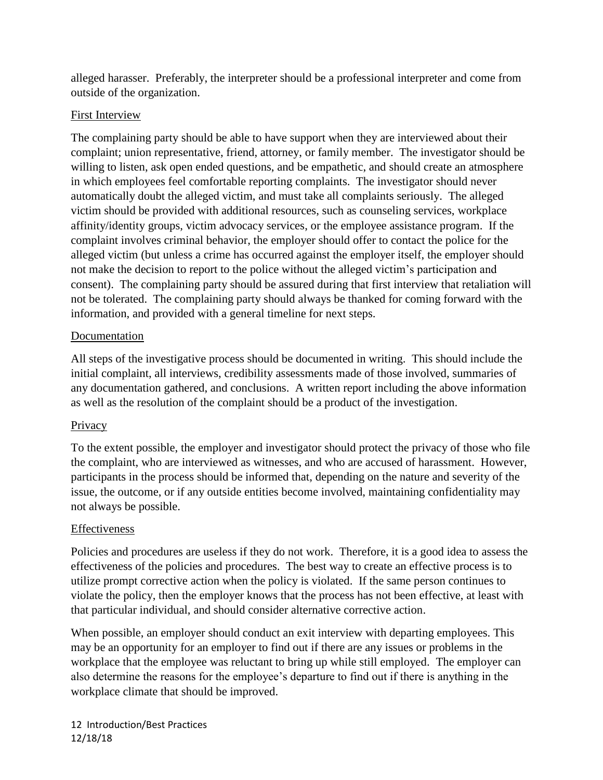alleged harasser. Preferably, the interpreter should be a professional interpreter and come from outside of the organization.

#### First Interview

The complaining party should be able to have support when they are interviewed about their complaint; union representative, friend, attorney, or family member. The investigator should be willing to listen, ask open ended questions, and be empathetic, and should create an atmosphere in which employees feel comfortable reporting complaints. The investigator should never automatically doubt the alleged victim, and must take all complaints seriously. The alleged victim should be provided with additional resources, such as counseling services, workplace affinity/identity groups, victim advocacy services, or the employee assistance program. If the complaint involves criminal behavior, the employer should offer to contact the police for the alleged victim (but unless a crime has occurred against the employer itself, the employer should not make the decision to report to the police without the alleged victim's participation and consent). The complaining party should be assured during that first interview that retaliation will not be tolerated. The complaining party should always be thanked for coming forward with the information, and provided with a general timeline for next steps.

## Documentation

All steps of the investigative process should be documented in writing. This should include the initial complaint, all interviews, credibility assessments made of those involved, summaries of any documentation gathered, and conclusions. A written report including the above information as well as the resolution of the complaint should be a product of the investigation.

# **Privacy**

To the extent possible, the employer and investigator should protect the privacy of those who file the complaint, who are interviewed as witnesses, and who are accused of harassment. However, participants in the process should be informed that, depending on the nature and severity of the issue, the outcome, or if any outside entities become involved, maintaining confidentiality may not always be possible.

#### Effectiveness

Policies and procedures are useless if they do not work. Therefore, it is a good idea to assess the effectiveness of the policies and procedures. The best way to create an effective process is to utilize prompt corrective action when the policy is violated. If the same person continues to violate the policy, then the employer knows that the process has not been effective, at least with that particular individual, and should consider alternative corrective action.

When possible, an employer should conduct an exit interview with departing employees. This may be an opportunity for an employer to find out if there are any issues or problems in the workplace that the employee was reluctant to bring up while still employed. The employer can also determine the reasons for the employee's departure to find out if there is anything in the workplace climate that should be improved.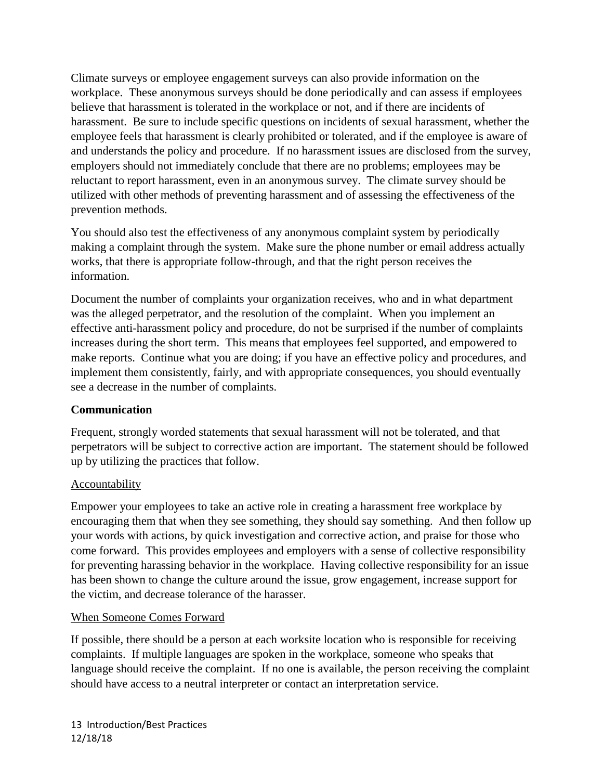Climate surveys or employee engagement surveys can also provide information on the workplace. These anonymous surveys should be done periodically and can assess if employees believe that harassment is tolerated in the workplace or not, and if there are incidents of harassment. Be sure to include specific questions on incidents of sexual harassment, whether the employee feels that harassment is clearly prohibited or tolerated, and if the employee is aware of and understands the policy and procedure. If no harassment issues are disclosed from the survey, employers should not immediately conclude that there are no problems; employees may be reluctant to report harassment, even in an anonymous survey. The climate survey should be utilized with other methods of preventing harassment and of assessing the effectiveness of the prevention methods.

You should also test the effectiveness of any anonymous complaint system by periodically making a complaint through the system. Make sure the phone number or email address actually works, that there is appropriate follow-through, and that the right person receives the information.

Document the number of complaints your organization receives, who and in what department was the alleged perpetrator, and the resolution of the complaint. When you implement an effective anti-harassment policy and procedure, do not be surprised if the number of complaints increases during the short term. This means that employees feel supported, and empowered to make reports. Continue what you are doing; if you have an effective policy and procedures, and implement them consistently, fairly, and with appropriate consequences, you should eventually see a decrease in the number of complaints.

#### **Communication**

Frequent, strongly worded statements that sexual harassment will not be tolerated, and that perpetrators will be subject to corrective action are important. The statement should be followed up by utilizing the practices that follow.

# Accountability

Empower your employees to take an active role in creating a harassment free workplace by encouraging them that when they see something, they should say something. And then follow up your words with actions, by quick investigation and corrective action, and praise for those who come forward. This provides employees and employers with a sense of collective responsibility for preventing harassing behavior in the workplace. Having collective responsibility for an issue has been shown to change the culture around the issue, grow engagement, increase support for the victim, and decrease tolerance of the harasser.

#### When Someone Comes Forward

If possible, there should be a person at each worksite location who is responsible for receiving complaints. If multiple languages are spoken in the workplace, someone who speaks that language should receive the complaint. If no one is available, the person receiving the complaint should have access to a neutral interpreter or contact an interpretation service.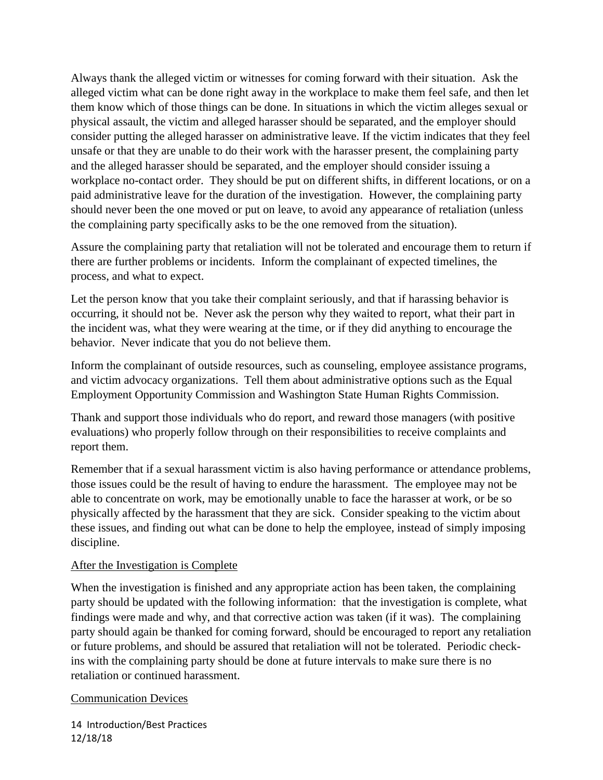Always thank the alleged victim or witnesses for coming forward with their situation. Ask the alleged victim what can be done right away in the workplace to make them feel safe, and then let them know which of those things can be done. In situations in which the victim alleges sexual or physical assault, the victim and alleged harasser should be separated, and the employer should consider putting the alleged harasser on administrative leave. If the victim indicates that they feel unsafe or that they are unable to do their work with the harasser present, the complaining party and the alleged harasser should be separated, and the employer should consider issuing a workplace no-contact order. They should be put on different shifts, in different locations, or on a paid administrative leave for the duration of the investigation. However, the complaining party should never been the one moved or put on leave, to avoid any appearance of retaliation (unless the complaining party specifically asks to be the one removed from the situation).

Assure the complaining party that retaliation will not be tolerated and encourage them to return if there are further problems or incidents. Inform the complainant of expected timelines, the process, and what to expect.

Let the person know that you take their complaint seriously, and that if harassing behavior is occurring, it should not be. Never ask the person why they waited to report, what their part in the incident was, what they were wearing at the time, or if they did anything to encourage the behavior. Never indicate that you do not believe them.

Inform the complainant of outside resources, such as counseling, employee assistance programs, and victim advocacy organizations. Tell them about administrative options such as the Equal Employment Opportunity Commission and Washington State Human Rights Commission.

Thank and support those individuals who do report, and reward those managers (with positive evaluations) who properly follow through on their responsibilities to receive complaints and report them.

Remember that if a sexual harassment victim is also having performance or attendance problems, those issues could be the result of having to endure the harassment. The employee may not be able to concentrate on work, may be emotionally unable to face the harasser at work, or be so physically affected by the harassment that they are sick. Consider speaking to the victim about these issues, and finding out what can be done to help the employee, instead of simply imposing discipline.

#### After the Investigation is Complete

When the investigation is finished and any appropriate action has been taken, the complaining party should be updated with the following information: that the investigation is complete, what findings were made and why, and that corrective action was taken (if it was). The complaining party should again be thanked for coming forward, should be encouraged to report any retaliation or future problems, and should be assured that retaliation will not be tolerated. Periodic checkins with the complaining party should be done at future intervals to make sure there is no retaliation or continued harassment.

#### Communication Devices

14 Introduction/Best Practices 12/18/18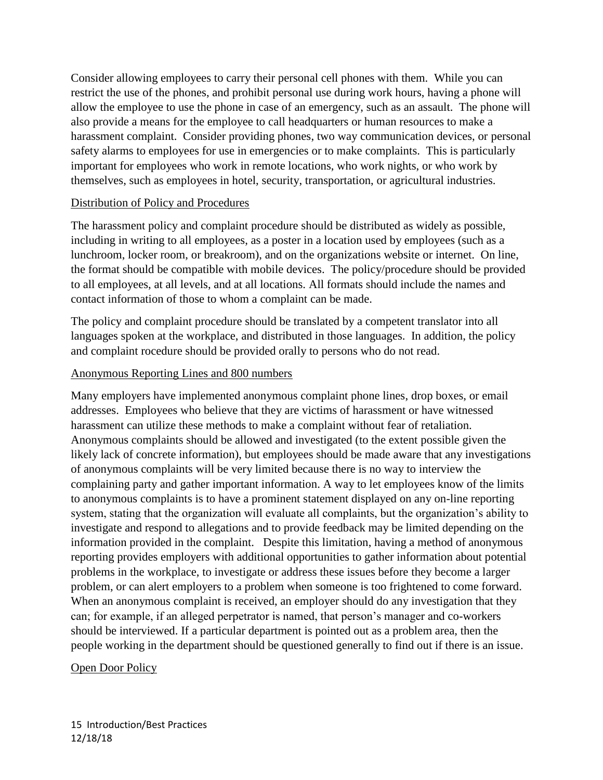Consider allowing employees to carry their personal cell phones with them. While you can restrict the use of the phones, and prohibit personal use during work hours, having a phone will allow the employee to use the phone in case of an emergency, such as an assault. The phone will also provide a means for the employee to call headquarters or human resources to make a harassment complaint. Consider providing phones, two way communication devices, or personal safety alarms to employees for use in emergencies or to make complaints. This is particularly important for employees who work in remote locations, who work nights, or who work by themselves, such as employees in hotel, security, transportation, or agricultural industries.

#### Distribution of Policy and Procedures

The harassment policy and complaint procedure should be distributed as widely as possible, including in writing to all employees, as a poster in a location used by employees (such as a lunchroom, locker room, or breakroom), and on the organizations website or internet. On line, the format should be compatible with mobile devices. The policy/procedure should be provided to all employees, at all levels, and at all locations. All formats should include the names and contact information of those to whom a complaint can be made.

The policy and complaint procedure should be translated by a competent translator into all languages spoken at the workplace, and distributed in those languages. In addition, the policy and complaint rocedure should be provided orally to persons who do not read.

#### Anonymous Reporting Lines and 800 numbers

Many employers have implemented anonymous complaint phone lines, drop boxes, or email addresses. Employees who believe that they are victims of harassment or have witnessed harassment can utilize these methods to make a complaint without fear of retaliation. Anonymous complaints should be allowed and investigated (to the extent possible given the likely lack of concrete information), but employees should be made aware that any investigations of anonymous complaints will be very limited because there is no way to interview the complaining party and gather important information. A way to let employees know of the limits to anonymous complaints is to have a prominent statement displayed on any on-line reporting system, stating that the organization will evaluate all complaints, but the organization's ability to investigate and respond to allegations and to provide feedback may be limited depending on the information provided in the complaint. Despite this limitation, having a method of anonymous reporting provides employers with additional opportunities to gather information about potential problems in the workplace, to investigate or address these issues before they become a larger problem, or can alert employers to a problem when someone is too frightened to come forward. When an anonymous complaint is received, an employer should do any investigation that they can; for example, if an alleged perpetrator is named, that person's manager and co-workers should be interviewed. If a particular department is pointed out as a problem area, then the people working in the department should be questioned generally to find out if there is an issue.

#### Open Door Policy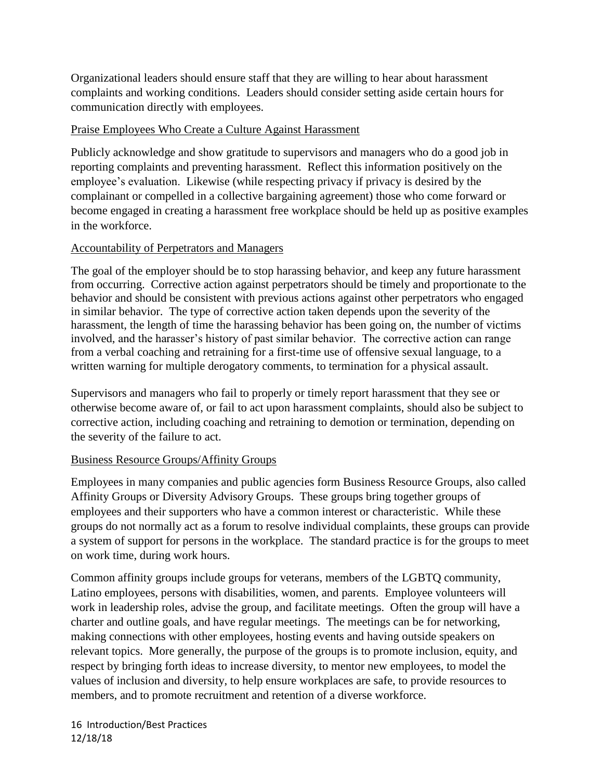Organizational leaders should ensure staff that they are willing to hear about harassment complaints and working conditions. Leaders should consider setting aside certain hours for communication directly with employees.

#### Praise Employees Who Create a Culture Against Harassment

Publicly acknowledge and show gratitude to supervisors and managers who do a good job in reporting complaints and preventing harassment. Reflect this information positively on the employee's evaluation. Likewise (while respecting privacy if privacy is desired by the complainant or compelled in a collective bargaining agreement) those who come forward or become engaged in creating a harassment free workplace should be held up as positive examples in the workforce.

## Accountability of Perpetrators and Managers

The goal of the employer should be to stop harassing behavior, and keep any future harassment from occurring. Corrective action against perpetrators should be timely and proportionate to the behavior and should be consistent with previous actions against other perpetrators who engaged in similar behavior. The type of corrective action taken depends upon the severity of the harassment, the length of time the harassing behavior has been going on, the number of victims involved, and the harasser's history of past similar behavior. The corrective action can range from a verbal coaching and retraining for a first-time use of offensive sexual language, to a written warning for multiple derogatory comments, to termination for a physical assault.

Supervisors and managers who fail to properly or timely report harassment that they see or otherwise become aware of, or fail to act upon harassment complaints, should also be subject to corrective action, including coaching and retraining to demotion or termination, depending on the severity of the failure to act.

#### Business Resource Groups/Affinity Groups

Employees in many companies and public agencies form Business Resource Groups, also called Affinity Groups or Diversity Advisory Groups. These groups bring together groups of employees and their supporters who have a common interest or characteristic. While these groups do not normally act as a forum to resolve individual complaints, these groups can provide a system of support for persons in the workplace. The standard practice is for the groups to meet on work time, during work hours.

Common affinity groups include groups for veterans, members of the LGBTQ community, Latino employees, persons with disabilities, women, and parents. Employee volunteers will work in leadership roles, advise the group, and facilitate meetings. Often the group will have a charter and outline goals, and have regular meetings. The meetings can be for networking, making connections with other employees, hosting events and having outside speakers on relevant topics. More generally, the purpose of the groups is to promote inclusion, equity, and respect by bringing forth ideas to increase diversity, to mentor new employees, to model the values of inclusion and diversity, to help ensure workplaces are safe, to provide resources to members, and to promote recruitment and retention of a diverse workforce.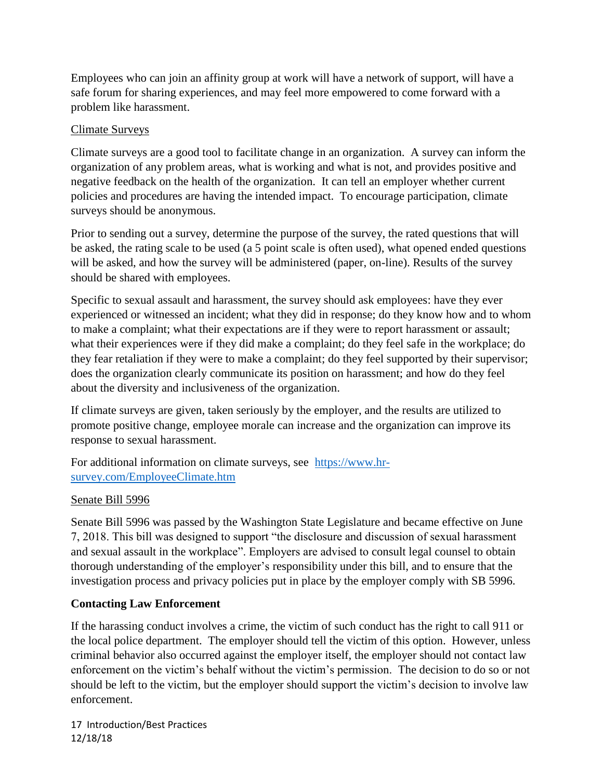Employees who can join an affinity group at work will have a network of support, will have a safe forum for sharing experiences, and may feel more empowered to come forward with a problem like harassment.

#### Climate Surveys

Climate surveys are a good tool to facilitate change in an organization. A survey can inform the organization of any problem areas, what is working and what is not, and provides positive and negative feedback on the health of the organization. It can tell an employer whether current policies and procedures are having the intended impact. To encourage participation, climate surveys should be anonymous.

Prior to sending out a survey, determine the purpose of the survey, the rated questions that will be asked, the rating scale to be used (a 5 point scale is often used), what opened ended questions will be asked, and how the survey will be administered (paper, on-line). Results of the survey should be shared with employees.

Specific to sexual assault and harassment, the survey should ask employees: have they ever experienced or witnessed an incident; what they did in response; do they know how and to whom to make a complaint; what their expectations are if they were to report harassment or assault; what their experiences were if they did make a complaint; do they feel safe in the workplace; do they fear retaliation if they were to make a complaint; do they feel supported by their supervisor; does the organization clearly communicate its position on harassment; and how do they feel about the diversity and inclusiveness of the organization.

If climate surveys are given, taken seriously by the employer, and the results are utilized to promote positive change, employee morale can increase and the organization can improve its response to sexual harassment.

For additional information on climate surveys, see [https://www.hr](https://www.hr-survey.com/EmployeeClimate.htm)[survey.com/EmployeeClimate.htm](https://www.hr-survey.com/EmployeeClimate.htm)

#### Senate Bill 5996

Senate Bill 5996 was passed by the Washington State Legislature and became effective on June 7, 2018. This bill was designed to support "the disclosure and discussion of sexual harassment and sexual assault in the workplace". Employers are advised to consult legal counsel to obtain thorough understanding of the employer's responsibility under this bill, and to ensure that the investigation process and privacy policies put in place by the employer comply with SB 5996.

# **Contacting Law Enforcement**

If the harassing conduct involves a crime, the victim of such conduct has the right to call 911 or the local police department. The employer should tell the victim of this option. However, unless criminal behavior also occurred against the employer itself, the employer should not contact law enforcement on the victim's behalf without the victim's permission. The decision to do so or not should be left to the victim, but the employer should support the victim's decision to involve law enforcement.

17 Introduction/Best Practices 12/18/18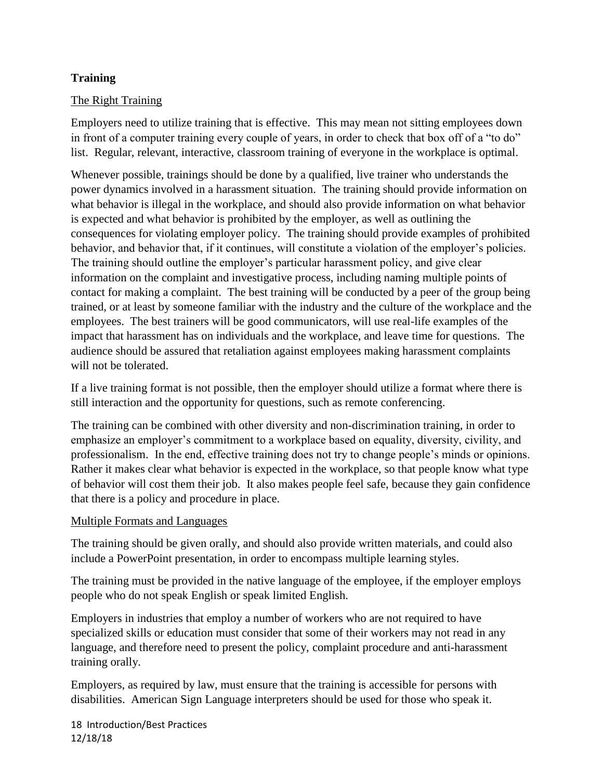## **Training**

#### The Right Training

Employers need to utilize training that is effective. This may mean not sitting employees down in front of a computer training every couple of years, in order to check that box off of a "to do" list. Regular, relevant, interactive, classroom training of everyone in the workplace is optimal.

Whenever possible, trainings should be done by a qualified, live trainer who understands the power dynamics involved in a harassment situation. The training should provide information on what behavior is illegal in the workplace, and should also provide information on what behavior is expected and what behavior is prohibited by the employer, as well as outlining the consequences for violating employer policy. The training should provide examples of prohibited behavior, and behavior that, if it continues, will constitute a violation of the employer's policies. The training should outline the employer's particular harassment policy, and give clear information on the complaint and investigative process, including naming multiple points of contact for making a complaint. The best training will be conducted by a peer of the group being trained, or at least by someone familiar with the industry and the culture of the workplace and the employees. The best trainers will be good communicators, will use real-life examples of the impact that harassment has on individuals and the workplace, and leave time for questions. The audience should be assured that retaliation against employees making harassment complaints will not be tolerated.

If a live training format is not possible, then the employer should utilize a format where there is still interaction and the opportunity for questions, such as remote conferencing.

The training can be combined with other diversity and non-discrimination training, in order to emphasize an employer's commitment to a workplace based on equality, diversity, civility, and professionalism. In the end, effective training does not try to change people's minds or opinions. Rather it makes clear what behavior is expected in the workplace, so that people know what type of behavior will cost them their job. It also makes people feel safe, because they gain confidence that there is a policy and procedure in place.

#### Multiple Formats and Languages

The training should be given orally, and should also provide written materials, and could also include a PowerPoint presentation, in order to encompass multiple learning styles.

The training must be provided in the native language of the employee, if the employer employs people who do not speak English or speak limited English.

Employers in industries that employ a number of workers who are not required to have specialized skills or education must consider that some of their workers may not read in any language, and therefore need to present the policy, complaint procedure and anti-harassment training orally.

Employers, as required by law, must ensure that the training is accessible for persons with disabilities. American Sign Language interpreters should be used for those who speak it.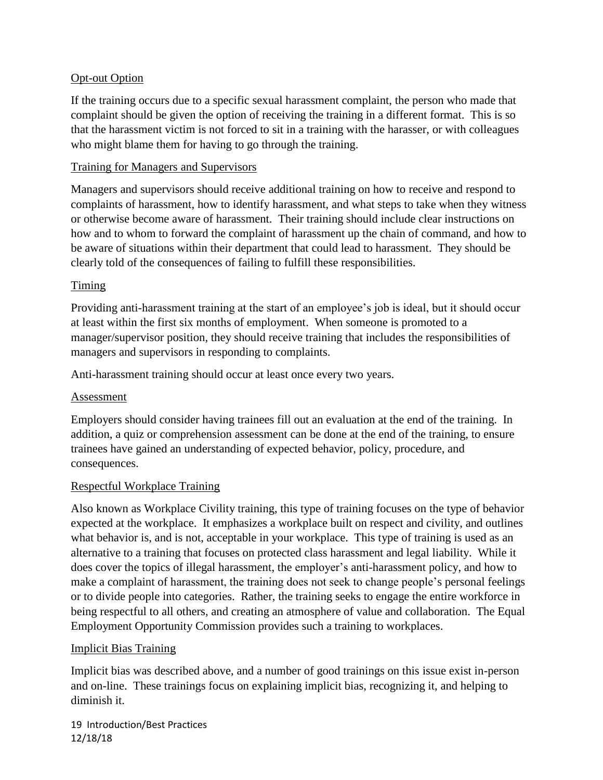#### **Opt-out Option**

If the training occurs due to a specific sexual harassment complaint, the person who made that complaint should be given the option of receiving the training in a different format. This is so that the harassment victim is not forced to sit in a training with the harasser, or with colleagues who might blame them for having to go through the training.

#### Training for Managers and Supervisors

Managers and supervisors should receive additional training on how to receive and respond to complaints of harassment, how to identify harassment, and what steps to take when they witness or otherwise become aware of harassment. Their training should include clear instructions on how and to whom to forward the complaint of harassment up the chain of command, and how to be aware of situations within their department that could lead to harassment. They should be clearly told of the consequences of failing to fulfill these responsibilities.

#### Timing

Providing anti-harassment training at the start of an employee's job is ideal, but it should occur at least within the first six months of employment. When someone is promoted to a manager/supervisor position, they should receive training that includes the responsibilities of managers and supervisors in responding to complaints.

Anti-harassment training should occur at least once every two years.

#### Assessment

Employers should consider having trainees fill out an evaluation at the end of the training. In addition, a quiz or comprehension assessment can be done at the end of the training, to ensure trainees have gained an understanding of expected behavior, policy, procedure, and consequences.

#### Respectful Workplace Training

Also known as Workplace Civility training, this type of training focuses on the type of behavior expected at the workplace. It emphasizes a workplace built on respect and civility, and outlines what behavior is, and is not, acceptable in your workplace. This type of training is used as an alternative to a training that focuses on protected class harassment and legal liability. While it does cover the topics of illegal harassment, the employer's anti-harassment policy, and how to make a complaint of harassment, the training does not seek to change people's personal feelings or to divide people into categories. Rather, the training seeks to engage the entire workforce in being respectful to all others, and creating an atmosphere of value and collaboration. The Equal Employment Opportunity Commission provides such a training to workplaces.

#### Implicit Bias Training

Implicit bias was described above, and a number of good trainings on this issue exist in-person and on-line. These trainings focus on explaining implicit bias, recognizing it, and helping to diminish it.

19 Introduction/Best Practices 12/18/18